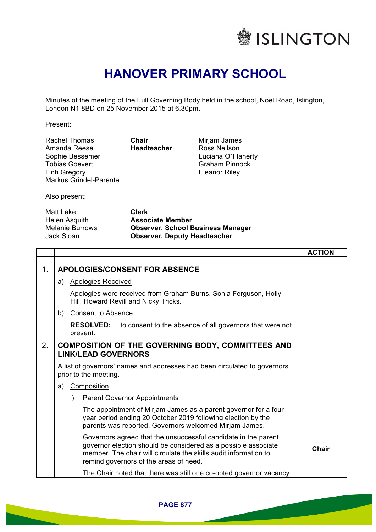

## **HANOVER PRIMARY SCHOOL**

Minutes of the meeting of the Full Governing Body held in the school, Noel Road, Islington, London N1 8BD on 25 November 2015 at 6.30pm.

Present:

| Chair         |
|---------------|
| <b>Headte</b> |
|               |
|               |
|               |
|               |
|               |

eadteacher

Mirjam James Ross Neilson Luciana O`Flaherty Graham Pinnock Eleanor Riley

Also present:

| Clerk                                    |
|------------------------------------------|
| <b>Associate Member</b>                  |
| <b>Observer, School Business Manager</b> |
| <b>Observer, Deputy Headteacher</b>      |
|                                          |

|                |                                                                                                                                                                                                                                                | <b>ACTION</b> |
|----------------|------------------------------------------------------------------------------------------------------------------------------------------------------------------------------------------------------------------------------------------------|---------------|
|                |                                                                                                                                                                                                                                                |               |
| 1 <sub>1</sub> | <b>APOLOGIES/CONSENT FOR ABSENCE</b>                                                                                                                                                                                                           |               |
|                | <b>Apologies Received</b><br>a)                                                                                                                                                                                                                |               |
|                | Apologies were received from Graham Burns, Sonia Ferguson, Holly<br>Hill, Howard Revill and Nicky Tricks.                                                                                                                                      |               |
|                | <b>Consent to Absence</b><br>b)                                                                                                                                                                                                                |               |
|                | <b>RESOLVED:</b><br>to consent to the absence of all governors that were not<br>present.                                                                                                                                                       |               |
| 2.             | <b>COMPOSITION OF THE GOVERNING BODY, COMMITTEES AND</b>                                                                                                                                                                                       |               |
|                | <b>LINK/LEAD GOVERNORS</b>                                                                                                                                                                                                                     |               |
|                | A list of governors' names and addresses had been circulated to governors<br>prior to the meeting.                                                                                                                                             |               |
|                | Composition<br>a)                                                                                                                                                                                                                              |               |
|                | i)<br><b>Parent Governor Appointments</b>                                                                                                                                                                                                      |               |
|                | The appointment of Mirjam James as a parent governor for a four-<br>year period ending 20 October 2019 following election by the<br>parents was reported. Governors welcomed Mirjam James.                                                     |               |
|                | Governors agreed that the unsuccessful candidate in the parent<br>governor election should be considered as a possible associate<br>member. The chair will circulate the skills audit information to<br>remind governors of the areas of need. | Chair         |
|                | The Chair noted that there was still one co-opted governor vacancy                                                                                                                                                                             |               |

**PAGE 877**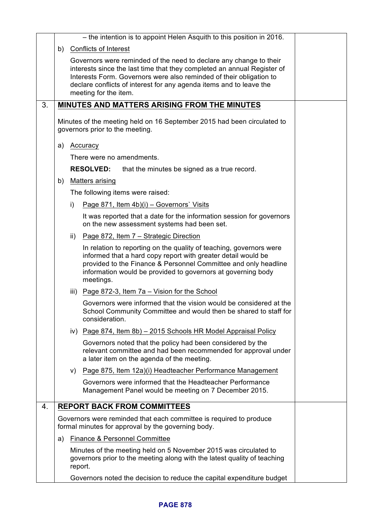|    |    |     | - the intention is to appoint Helen Asquith to this position in 2016.                                                                                                                                                                                                                                                |  |
|----|----|-----|----------------------------------------------------------------------------------------------------------------------------------------------------------------------------------------------------------------------------------------------------------------------------------------------------------------------|--|
|    | b) |     | <b>Conflicts of Interest</b>                                                                                                                                                                                                                                                                                         |  |
|    |    |     | Governors were reminded of the need to declare any change to their<br>interests since the last time that they completed an annual Register of<br>Interests Form. Governors were also reminded of their obligation to<br>declare conflicts of interest for any agenda items and to leave the<br>meeting for the item. |  |
| 3. |    |     | MINUTES AND MATTERS ARISING FROM THE MINUTES                                                                                                                                                                                                                                                                         |  |
|    |    |     | Minutes of the meeting held on 16 September 2015 had been circulated to<br>governors prior to the meeting.                                                                                                                                                                                                           |  |
|    | a) |     | Accuracy                                                                                                                                                                                                                                                                                                             |  |
|    |    |     | There were no amendments.                                                                                                                                                                                                                                                                                            |  |
|    |    |     | <b>RESOLVED:</b><br>that the minutes be signed as a true record.                                                                                                                                                                                                                                                     |  |
|    | b) |     | <b>Matters arising</b>                                                                                                                                                                                                                                                                                               |  |
|    |    |     | The following items were raised:                                                                                                                                                                                                                                                                                     |  |
|    |    | i)  | Page 871, Item 4b)(i) – Governors' Visits                                                                                                                                                                                                                                                                            |  |
|    |    |     | It was reported that a date for the information session for governors<br>on the new assessment systems had been set.                                                                                                                                                                                                 |  |
|    |    | ii) | Page 872, Item 7 - Strategic Direction                                                                                                                                                                                                                                                                               |  |
|    |    |     | In relation to reporting on the quality of teaching, governors were<br>informed that a hard copy report with greater detail would be<br>provided to the Finance & Personnel Committee and only headline<br>information would be provided to governors at governing body<br>meetings.                                 |  |
|    |    |     | iii) Page 872-3, Item 7a – Vision for the School                                                                                                                                                                                                                                                                     |  |
|    |    |     | Governors were informed that the vision would be considered at the<br>School Community Committee and would then be shared to staff for<br>consideration.                                                                                                                                                             |  |
|    |    |     | iv) Page 874, Item 8b) - 2015 Schools HR Model Appraisal Policy                                                                                                                                                                                                                                                      |  |
|    |    |     | Governors noted that the policy had been considered by the<br>relevant committee and had been recommended for approval under<br>a later item on the agenda of the meeting.                                                                                                                                           |  |
|    |    |     | v) Page 875, Item 12a)(i) Headteacher Performance Management                                                                                                                                                                                                                                                         |  |
|    |    |     | Governors were informed that the Headteacher Performance<br>Management Panel would be meeting on 7 December 2015.                                                                                                                                                                                                    |  |
| 4. |    |     | <b>REPORT BACK FROM COMMITTEES</b>                                                                                                                                                                                                                                                                                   |  |
|    |    |     | Governors were reminded that each committee is required to produce<br>formal minutes for approval by the governing body.                                                                                                                                                                                             |  |
|    | a) |     | <b>Finance &amp; Personnel Committee</b>                                                                                                                                                                                                                                                                             |  |
|    |    |     | Minutes of the meeting held on 5 November 2015 was circulated to<br>governors prior to the meeting along with the latest quality of teaching<br>report.                                                                                                                                                              |  |
|    |    |     | Governors noted the decision to reduce the capital expenditure budget                                                                                                                                                                                                                                                |  |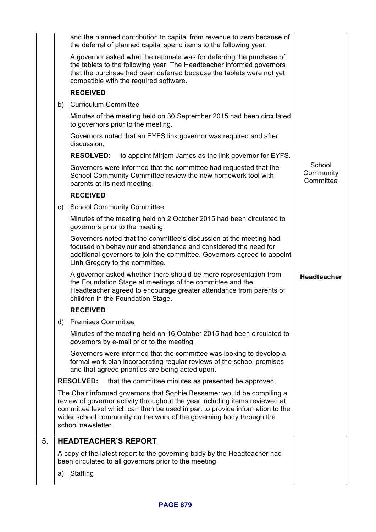|    |    | and the planned contribution to capital from revenue to zero because of<br>the deferral of planned capital spend items to the following year.                                                                                                                                                                                       |                                  |
|----|----|-------------------------------------------------------------------------------------------------------------------------------------------------------------------------------------------------------------------------------------------------------------------------------------------------------------------------------------|----------------------------------|
|    |    | A governor asked what the rationale was for deferring the purchase of<br>the tablets to the following year. The Headteacher informed governors<br>that the purchase had been deferred because the tablets were not yet<br>compatible with the required software.                                                                    |                                  |
|    |    | <b>RECEIVED</b>                                                                                                                                                                                                                                                                                                                     |                                  |
|    | b) | <b>Curriculum Committee</b>                                                                                                                                                                                                                                                                                                         |                                  |
|    |    | Minutes of the meeting held on 30 September 2015 had been circulated<br>to governors prior to the meeting.                                                                                                                                                                                                                          |                                  |
|    |    | Governors noted that an EYFS link governor was required and after<br>discussion,                                                                                                                                                                                                                                                    |                                  |
|    |    | <b>RESOLVED:</b><br>to appoint Mirjam James as the link governor for EYFS.                                                                                                                                                                                                                                                          |                                  |
|    |    | Governors were informed that the committee had requested that the<br>School Community Committee review the new homework tool with<br>parents at its next meeting.                                                                                                                                                                   | School<br>Community<br>Committee |
|    |    | <b>RECEIVED</b>                                                                                                                                                                                                                                                                                                                     |                                  |
|    | C) | <b>School Community Committee</b>                                                                                                                                                                                                                                                                                                   |                                  |
|    |    | Minutes of the meeting held on 2 October 2015 had been circulated to<br>governors prior to the meeting.                                                                                                                                                                                                                             |                                  |
|    |    | Governors noted that the committee's discussion at the meeting had<br>focused on behaviour and attendance and considered the need for<br>additional governors to join the committee. Governors agreed to appoint<br>Linh Gregory to the committee.                                                                                  |                                  |
|    |    | A governor asked whether there should be more representation from<br>the Foundation Stage at meetings of the committee and the<br>Headteacher agreed to encourage greater attendance from parents of<br>children in the Foundation Stage.                                                                                           | <b>Headteacher</b>               |
|    |    | <b>RECEIVED</b>                                                                                                                                                                                                                                                                                                                     |                                  |
|    | d) | <b>Premises Committee</b>                                                                                                                                                                                                                                                                                                           |                                  |
|    |    | Minutes of the meeting held on 16 October 2015 had been circulated to<br>governors by e-mail prior to the meeting.                                                                                                                                                                                                                  |                                  |
|    |    | Governors were informed that the committee was looking to develop a<br>formal work plan incorporating regular reviews of the school premises<br>and that agreed priorities are being acted upon.                                                                                                                                    |                                  |
|    |    | <b>RESOLVED:</b><br>that the committee minutes as presented be approved.                                                                                                                                                                                                                                                            |                                  |
|    |    | The Chair informed governors that Sophie Bessemer would be compiling a<br>review of governor activity throughout the year including items reviewed at<br>committee level which can then be used in part to provide information to the<br>wider school community on the work of the governing body through the<br>school newsletter. |                                  |
| 5. |    | <b>HEADTEACHER'S REPORT</b>                                                                                                                                                                                                                                                                                                         |                                  |
|    |    | A copy of the latest report to the governing body by the Headteacher had<br>been circulated to all governors prior to the meeting.                                                                                                                                                                                                  |                                  |
|    | a) | Staffing                                                                                                                                                                                                                                                                                                                            |                                  |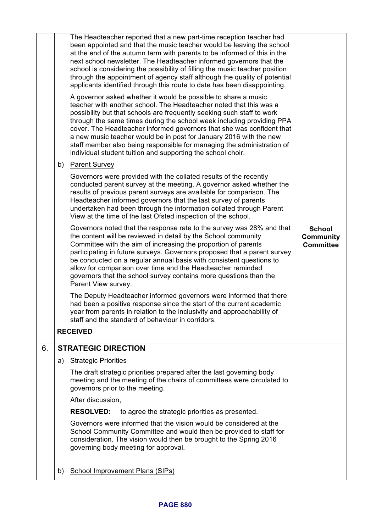|    |    | The Headteacher reported that a new part-time reception teacher had<br>been appointed and that the music teacher would be leaving the school<br>at the end of the autumn term with parents to be informed of this in the<br>next school newsletter. The Headteacher informed governors that the<br>school is considering the possibility of filling the music teacher position<br>through the appointment of agency staff although the quality of potential<br>applicants identified through this route to date has been disappointing.<br>A governor asked whether it would be possible to share a music<br>teacher with another school. The Headteacher noted that this was a |                                                       |
|----|----|---------------------------------------------------------------------------------------------------------------------------------------------------------------------------------------------------------------------------------------------------------------------------------------------------------------------------------------------------------------------------------------------------------------------------------------------------------------------------------------------------------------------------------------------------------------------------------------------------------------------------------------------------------------------------------|-------------------------------------------------------|
|    |    | possibility but that schools are frequently seeking such staff to work<br>through the same times during the school week including providing PPA<br>cover. The Headteacher informed governors that she was confident that<br>a new music teacher would be in post for January 2016 with the new<br>staff member also being responsible for managing the administration of<br>individual student tuition and supporting the school choir.                                                                                                                                                                                                                                         |                                                       |
|    | b) | <b>Parent Survey</b>                                                                                                                                                                                                                                                                                                                                                                                                                                                                                                                                                                                                                                                            |                                                       |
|    |    | Governors were provided with the collated results of the recently<br>conducted parent survey at the meeting. A governor asked whether the<br>results of previous parent surveys are available for comparison. The<br>Headteacher informed governors that the last survey of parents<br>undertaken had been through the information collated through Parent<br>View at the time of the last Ofsted inspection of the school.                                                                                                                                                                                                                                                     |                                                       |
|    |    | Governors noted that the response rate to the survey was 28% and that<br>the content will be reviewed in detail by the School community<br>Committee with the aim of increasing the proportion of parents<br>participating in future surveys. Governors proposed that a parent survey<br>be conducted on a regular annual basis with consistent questions to<br>allow for comparison over time and the Headteacher reminded<br>governors that the school survey contains more questions than the<br>Parent View survey.                                                                                                                                                         | <b>School</b><br><b>Community</b><br><b>Committee</b> |
|    |    | The Deputy Headteacher informed governors were informed that there<br>had been a positive response since the start of the current academic<br>year from parents in relation to the inclusivity and approachability of<br>staff and the standard of behaviour in corridors.                                                                                                                                                                                                                                                                                                                                                                                                      |                                                       |
|    |    | <b>RECEIVED</b>                                                                                                                                                                                                                                                                                                                                                                                                                                                                                                                                                                                                                                                                 |                                                       |
| 6. |    | <b>STRATEGIC DIRECTION</b>                                                                                                                                                                                                                                                                                                                                                                                                                                                                                                                                                                                                                                                      |                                                       |
|    | a) | <b>Strategic Priorities</b>                                                                                                                                                                                                                                                                                                                                                                                                                                                                                                                                                                                                                                                     |                                                       |
|    |    | The draft strategic priorities prepared after the last governing body<br>meeting and the meeting of the chairs of committees were circulated to<br>governors prior to the meeting.                                                                                                                                                                                                                                                                                                                                                                                                                                                                                              |                                                       |
|    |    | After discussion,                                                                                                                                                                                                                                                                                                                                                                                                                                                                                                                                                                                                                                                               |                                                       |
|    |    | <b>RESOLVED:</b><br>to agree the strategic priorities as presented.                                                                                                                                                                                                                                                                                                                                                                                                                                                                                                                                                                                                             |                                                       |
|    |    | Governors were informed that the vision would be considered at the<br>School Community Committee and would then be provided to staff for<br>consideration. The vision would then be brought to the Spring 2016<br>governing body meeting for approval.                                                                                                                                                                                                                                                                                                                                                                                                                          |                                                       |
|    | b) | School Improvement Plans (SIPs)                                                                                                                                                                                                                                                                                                                                                                                                                                                                                                                                                                                                                                                 |                                                       |
|    |    |                                                                                                                                                                                                                                                                                                                                                                                                                                                                                                                                                                                                                                                                                 |                                                       |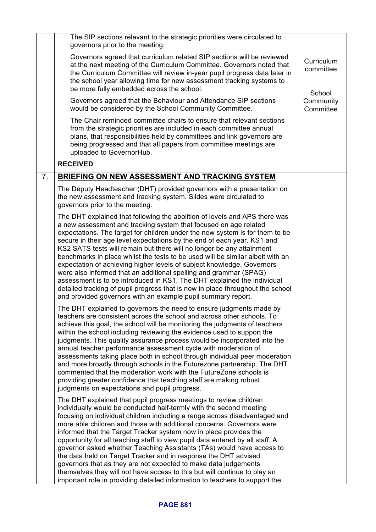|                | The SIP sections relevant to the strategic priorities were circulated to                                                                                                                                                                                                                                                                                                                                                                                                                                                                                                                                                                                                                                                                                                                                                                         |                                   |
|----------------|--------------------------------------------------------------------------------------------------------------------------------------------------------------------------------------------------------------------------------------------------------------------------------------------------------------------------------------------------------------------------------------------------------------------------------------------------------------------------------------------------------------------------------------------------------------------------------------------------------------------------------------------------------------------------------------------------------------------------------------------------------------------------------------------------------------------------------------------------|-----------------------------------|
|                | governors prior to the meeting.<br>Governors agreed that curriculum related SIP sections will be reviewed<br>at the next meeting of the Curriculum Committee. Governors noted that<br>the Curriculum Committee will review in-year pupil progress data later in<br>the school year allowing time for new assessment tracking systems to<br>be more fully embedded across the school.                                                                                                                                                                                                                                                                                                                                                                                                                                                             | Curriculum<br>committee<br>School |
|                | Governors agreed that the Behaviour and Attendance SIP sections<br>would be considered by the School Community Committee.                                                                                                                                                                                                                                                                                                                                                                                                                                                                                                                                                                                                                                                                                                                        | Community<br>Committee            |
|                | The Chair reminded committee chairs to ensure that relevant sections<br>from the strategic priorities are included in each committee annual<br>plans, that responsibilities held by committees and link governors are<br>being progressed and that all papers from committee meetings are<br>uploaded to GovernorHub.                                                                                                                                                                                                                                                                                                                                                                                                                                                                                                                            |                                   |
|                | <b>RECEIVED</b>                                                                                                                                                                                                                                                                                                                                                                                                                                                                                                                                                                                                                                                                                                                                                                                                                                  |                                   |
| 7 <sub>1</sub> | BRIEFING ON NEW ASSESSMENT AND TRACKING SYSTEM                                                                                                                                                                                                                                                                                                                                                                                                                                                                                                                                                                                                                                                                                                                                                                                                   |                                   |
|                | The Deputy Headteacher (DHT) provided governors with a presentation on<br>the new assessment and tracking system. Slides were circulated to<br>governors prior to the meeting.                                                                                                                                                                                                                                                                                                                                                                                                                                                                                                                                                                                                                                                                   |                                   |
|                | The DHT explained that following the abolition of levels and APS there was<br>a new assessment and tracking system that focused on age related<br>expectations. The target for children under the new system is for them to be<br>secure in their age level expectations by the end of each year. KS1 and<br>KS2 SATS tests will remain but there will no longer be any attainment<br>benchmarks in place whilst the tests to be used will be similar albeit with an<br>expectation of achieving higher levels of subject knowledge. Governors<br>were also informed that an additional spelling and grammar (SPAG)<br>assessment is to be introduced in KS1. The DHT explained the individual<br>detailed tracking of pupil progress that is now in place throughout the school<br>and provided governors with an example pupil summary report. |                                   |
|                | The DHT explained to governors the need to ensure judgments made by<br>teachers are consistent across the school and across other schools. To<br>achieve this goal, the school will be monitoring the judgments of teachers<br>within the school including reviewing the evidence used to support the<br>judgments. This quality assurance process would be incorporated into the<br>annual teacher performance assessment cycle with moderation of<br>assessments taking place both in school through individual peer moderation<br>and more broadly through schools in the Futurezone partnership. The DHT<br>commented that the moderation work with the FutureZone schools is<br>providing greater confidence that teaching staff are making robust<br>judgments on expectations and pupil progress.                                         |                                   |
|                | The DHT explained that pupil progress meetings to review children<br>individually would be conducted half-termly with the second meeting<br>focusing on individual children including a range across disadvantaged and<br>more able children and those with additional concerns. Governors were<br>informed that the Target Tracker system now in place provides the<br>opportunity for all teaching staff to view pupil data entered by all staff. A<br>governor asked whether Teaching Assistants (TAs) would have access to<br>the data held on Target Tracker and in response the DHT advised<br>governors that as they are not expected to make data judgements<br>themselves they will not have access to this but will continue to play an<br>important role in providing detailed information to teachers to support the                 |                                   |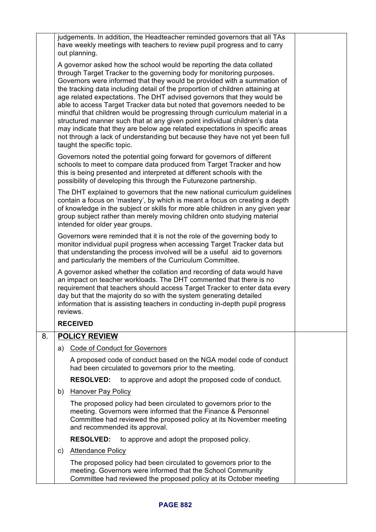|    |    | judgements. In addition, the Headteacher reminded governors that all TAs<br>have weekly meetings with teachers to review pupil progress and to carry<br>out planning.                                                                                                                                                                                                                                                                                                                                                                                                                                                                                                                                                                                                                                                   |  |
|----|----|-------------------------------------------------------------------------------------------------------------------------------------------------------------------------------------------------------------------------------------------------------------------------------------------------------------------------------------------------------------------------------------------------------------------------------------------------------------------------------------------------------------------------------------------------------------------------------------------------------------------------------------------------------------------------------------------------------------------------------------------------------------------------------------------------------------------------|--|
|    |    | A governor asked how the school would be reporting the data collated<br>through Target Tracker to the governing body for monitoring purposes.<br>Governors were informed that they would be provided with a summation of<br>the tracking data including detail of the proportion of children attaining at<br>age related expectations. The DHT advised governors that they would be<br>able to access Target Tracker data but noted that governors needed to be<br>mindful that children would be progressing through curriculum material in a<br>structured manner such that at any given point individual children's data<br>may indicate that they are below age related expectations in specific areas<br>not through a lack of understanding but because they have not yet been full<br>taught the specific topic. |  |
|    |    | Governors noted the potential going forward for governors of different<br>schools to meet to compare data produced from Target Tracker and how<br>this is being presented and interpreted at different schools with the<br>possibility of developing this through the Futurezone partnership.                                                                                                                                                                                                                                                                                                                                                                                                                                                                                                                           |  |
|    |    | The DHT explained to governors that the new national curriculum guidelines<br>contain a focus on 'mastery', by which is meant a focus on creating a depth<br>of knowledge in the subject or skills for more able children in any given year<br>group subject rather than merely moving children onto studying material<br>intended for older year groups.                                                                                                                                                                                                                                                                                                                                                                                                                                                               |  |
|    |    | Governors were reminded that it is not the role of the governing body to<br>monitor individual pupil progress when accessing Target Tracker data but<br>that understanding the process involved will be a useful aid to governors<br>and particularly the members of the Curriculum Committee.                                                                                                                                                                                                                                                                                                                                                                                                                                                                                                                          |  |
|    |    | A governor asked whether the collation and recording of data would have<br>an impact on teacher workloads. The DHT commented that there is no<br>requirement that teachers should access Target Tracker to enter data every<br>day but that the majority do so with the system generating detailed<br>information that is assisting teachers in conducting in-depth pupil progress<br>reviews.                                                                                                                                                                                                                                                                                                                                                                                                                          |  |
|    |    | <b>RECEIVED</b>                                                                                                                                                                                                                                                                                                                                                                                                                                                                                                                                                                                                                                                                                                                                                                                                         |  |
| 8. |    | <b>POLICY REVIEW</b>                                                                                                                                                                                                                                                                                                                                                                                                                                                                                                                                                                                                                                                                                                                                                                                                    |  |
|    | a) | Code of Conduct for Governors                                                                                                                                                                                                                                                                                                                                                                                                                                                                                                                                                                                                                                                                                                                                                                                           |  |
|    |    | A proposed code of conduct based on the NGA model code of conduct<br>had been circulated to governors prior to the meeting.                                                                                                                                                                                                                                                                                                                                                                                                                                                                                                                                                                                                                                                                                             |  |
|    |    | <b>RESOLVED:</b><br>to approve and adopt the proposed code of conduct.                                                                                                                                                                                                                                                                                                                                                                                                                                                                                                                                                                                                                                                                                                                                                  |  |
|    | b) | Hanover Pay Policy                                                                                                                                                                                                                                                                                                                                                                                                                                                                                                                                                                                                                                                                                                                                                                                                      |  |
|    |    | The proposed policy had been circulated to governors prior to the<br>meeting. Governors were informed that the Finance & Personnel<br>Committee had reviewed the proposed policy at its November meeting<br>and recommended its approval.                                                                                                                                                                                                                                                                                                                                                                                                                                                                                                                                                                               |  |
|    |    | <b>RESOLVED:</b><br>to approve and adopt the proposed policy.                                                                                                                                                                                                                                                                                                                                                                                                                                                                                                                                                                                                                                                                                                                                                           |  |
|    | c) | <b>Attendance Policy</b>                                                                                                                                                                                                                                                                                                                                                                                                                                                                                                                                                                                                                                                                                                                                                                                                |  |
|    |    | The proposed policy had been circulated to governors prior to the<br>meeting. Governors were informed that the School Community<br>Committee had reviewed the proposed policy at its October meeting                                                                                                                                                                                                                                                                                                                                                                                                                                                                                                                                                                                                                    |  |

## **PAGE 882**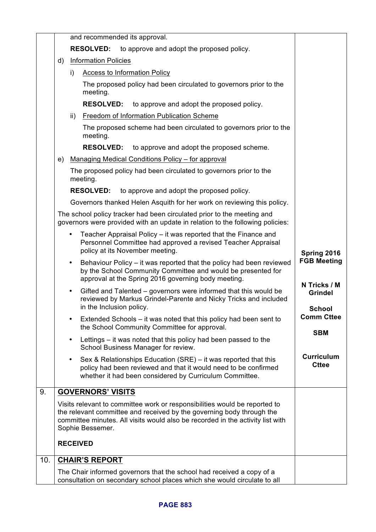|     |    | and recommended its approval.                                                                                                                                                                                                                             |                                                 |
|-----|----|-----------------------------------------------------------------------------------------------------------------------------------------------------------------------------------------------------------------------------------------------------------|-------------------------------------------------|
|     |    | <b>RESOLVED:</b><br>to approve and adopt the proposed policy.                                                                                                                                                                                             |                                                 |
|     | d) | <b>Information Policies</b>                                                                                                                                                                                                                               |                                                 |
|     |    | i)<br><b>Access to Information Policy</b>                                                                                                                                                                                                                 |                                                 |
|     |    | The proposed policy had been circulated to governors prior to the<br>meeting.                                                                                                                                                                             |                                                 |
|     |    | <b>RESOLVED:</b><br>to approve and adopt the proposed policy.                                                                                                                                                                                             |                                                 |
|     |    | Freedom of Information Publication Scheme<br>ii)                                                                                                                                                                                                          |                                                 |
|     |    | The proposed scheme had been circulated to governors prior to the<br>meeting.                                                                                                                                                                             |                                                 |
|     |    | <b>RESOLVED:</b><br>to approve and adopt the proposed scheme.                                                                                                                                                                                             |                                                 |
|     | e) | Managing Medical Conditions Policy - for approval                                                                                                                                                                                                         |                                                 |
|     |    | The proposed policy had been circulated to governors prior to the<br>meeting.                                                                                                                                                                             |                                                 |
|     |    | <b>RESOLVED:</b><br>to approve and adopt the proposed policy.                                                                                                                                                                                             |                                                 |
|     |    | Governors thanked Helen Asquith for her work on reviewing this policy.                                                                                                                                                                                    |                                                 |
|     |    | The school policy tracker had been circulated prior to the meeting and<br>governors were provided with an update in relation to the following policies:                                                                                                   |                                                 |
|     |    | Teacher Appraisal Policy – it was reported that the Finance and<br>Personnel Committee had approved a revised Teacher Appraisal<br>policy at its November meeting.                                                                                        | Spring 2016                                     |
|     |    | Behaviour Policy – it was reported that the policy had been reviewed<br>٠<br>by the School Community Committee and would be presented for<br>approval at the Spring 2016 governing body meeting.                                                          | <b>FGB Meeting</b>                              |
|     |    | Gifted and Talented – governors were informed that this would be<br>٠<br>reviewed by Markus Grindel-Parente and Nicky Tricks and included<br>in the Inclusion policy.                                                                                     | N Tricks / M<br><b>Grindel</b><br><b>School</b> |
|     |    | Extended Schools – it was noted that this policy had been sent to<br>$\bullet$                                                                                                                                                                            | <b>Comm Cttee</b>                               |
|     |    | the School Community Committee for approval.                                                                                                                                                                                                              | <b>SBM</b>                                      |
|     |    | Lettings – it was noted that this policy had been passed to the<br>$\bullet$<br>School Business Manager for review.                                                                                                                                       |                                                 |
|     |    | Sex & Relationships Education (SRE) – it was reported that this<br>٠<br>policy had been reviewed and that it would need to be confirmed<br>whether it had been considered by Curriculum Committee.                                                        | <b>Curriculum</b><br><b>Cttee</b>               |
| 9.  |    | <b>GOVERNORS' VISITS</b>                                                                                                                                                                                                                                  |                                                 |
|     |    | Visits relevant to committee work or responsibilities would be reported to<br>the relevant committee and received by the governing body through the<br>committee minutes. All visits would also be recorded in the activity list with<br>Sophie Bessemer. |                                                 |
|     |    | <b>RECEIVED</b>                                                                                                                                                                                                                                           |                                                 |
| 10. |    | <b>CHAIR'S REPORT</b>                                                                                                                                                                                                                                     |                                                 |
|     |    | The Chair informed governors that the school had received a copy of a<br>consultation on secondary school places which she would circulate to all                                                                                                         |                                                 |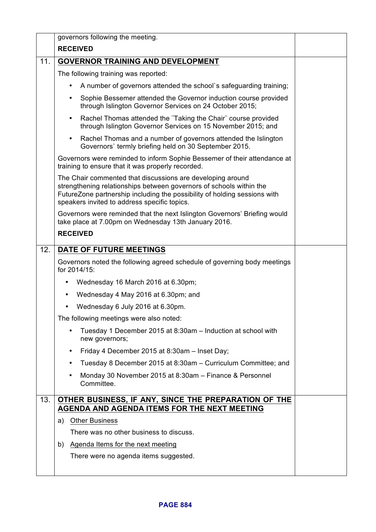|     | governors following the meeting.                                                                                                                                                                                                                               |  |  |
|-----|----------------------------------------------------------------------------------------------------------------------------------------------------------------------------------------------------------------------------------------------------------------|--|--|
|     | <b>RECEIVED</b>                                                                                                                                                                                                                                                |  |  |
| 11. | <b>GOVERNOR TRAINING AND DEVELOPMENT</b>                                                                                                                                                                                                                       |  |  |
|     | The following training was reported:                                                                                                                                                                                                                           |  |  |
|     | A number of governors attended the school's safeguarding training;                                                                                                                                                                                             |  |  |
|     | Sophie Bessemer attended the Governor induction course provided<br>through Islington Governor Services on 24 October 2015;                                                                                                                                     |  |  |
|     | Rachel Thomas attended the "Taking the Chair" course provided<br>$\bullet$<br>through Islington Governor Services on 15 November 2015; and                                                                                                                     |  |  |
|     | Rachel Thomas and a number of governors attended the Islington<br>$\bullet$<br>Governors' termly briefing held on 30 September 2015.                                                                                                                           |  |  |
|     | Governors were reminded to inform Sophie Bessemer of their attendance at<br>training to ensure that it was properly recorded.                                                                                                                                  |  |  |
|     | The Chair commented that discussions are developing around<br>strengthening relationships between governors of schools within the<br>FutureZone partnership including the possibility of holding sessions with<br>speakers invited to address specific topics. |  |  |
|     | Governors were reminded that the next Islington Governors' Briefing would<br>take place at 7.00pm on Wednesday 13th January 2016.                                                                                                                              |  |  |
|     | <b>RECEIVED</b>                                                                                                                                                                                                                                                |  |  |
| 12. | DATE OF FUTURE MEETINGS                                                                                                                                                                                                                                        |  |  |
|     | Governors noted the following agreed schedule of governing body meetings<br>for 2014/15:                                                                                                                                                                       |  |  |
|     | Wednesday 16 March 2016 at 6.30pm;                                                                                                                                                                                                                             |  |  |
|     | Wednesday 4 May 2016 at 6.30pm; and<br>$\bullet$                                                                                                                                                                                                               |  |  |
|     | Wednesday 6 July 2016 at 6.30pm.                                                                                                                                                                                                                               |  |  |
|     | The following meetings were also noted:                                                                                                                                                                                                                        |  |  |
|     | Tuesday 1 December 2015 at 8:30am - Induction at school with<br>new governors;                                                                                                                                                                                 |  |  |
|     | Friday 4 December 2015 at 8:30am - Inset Day;<br>٠                                                                                                                                                                                                             |  |  |
|     | Tuesday 8 December 2015 at 8:30am - Curriculum Committee; and                                                                                                                                                                                                  |  |  |
|     | Monday 30 November 2015 at 8:30am - Finance & Personnel<br>Committee.                                                                                                                                                                                          |  |  |
| 13. | OTHER BUSINESS, IF ANY, SINCE THE PREPARATION OF THE                                                                                                                                                                                                           |  |  |
|     | AGENDA AND AGENDA ITEMS FOR THE NEXT MEETING                                                                                                                                                                                                                   |  |  |
|     | a) Other Business                                                                                                                                                                                                                                              |  |  |
|     | There was no other business to discuss.                                                                                                                                                                                                                        |  |  |
|     | b) Agenda Items for the next meeting                                                                                                                                                                                                                           |  |  |
|     | There were no agenda items suggested.                                                                                                                                                                                                                          |  |  |
|     |                                                                                                                                                                                                                                                                |  |  |